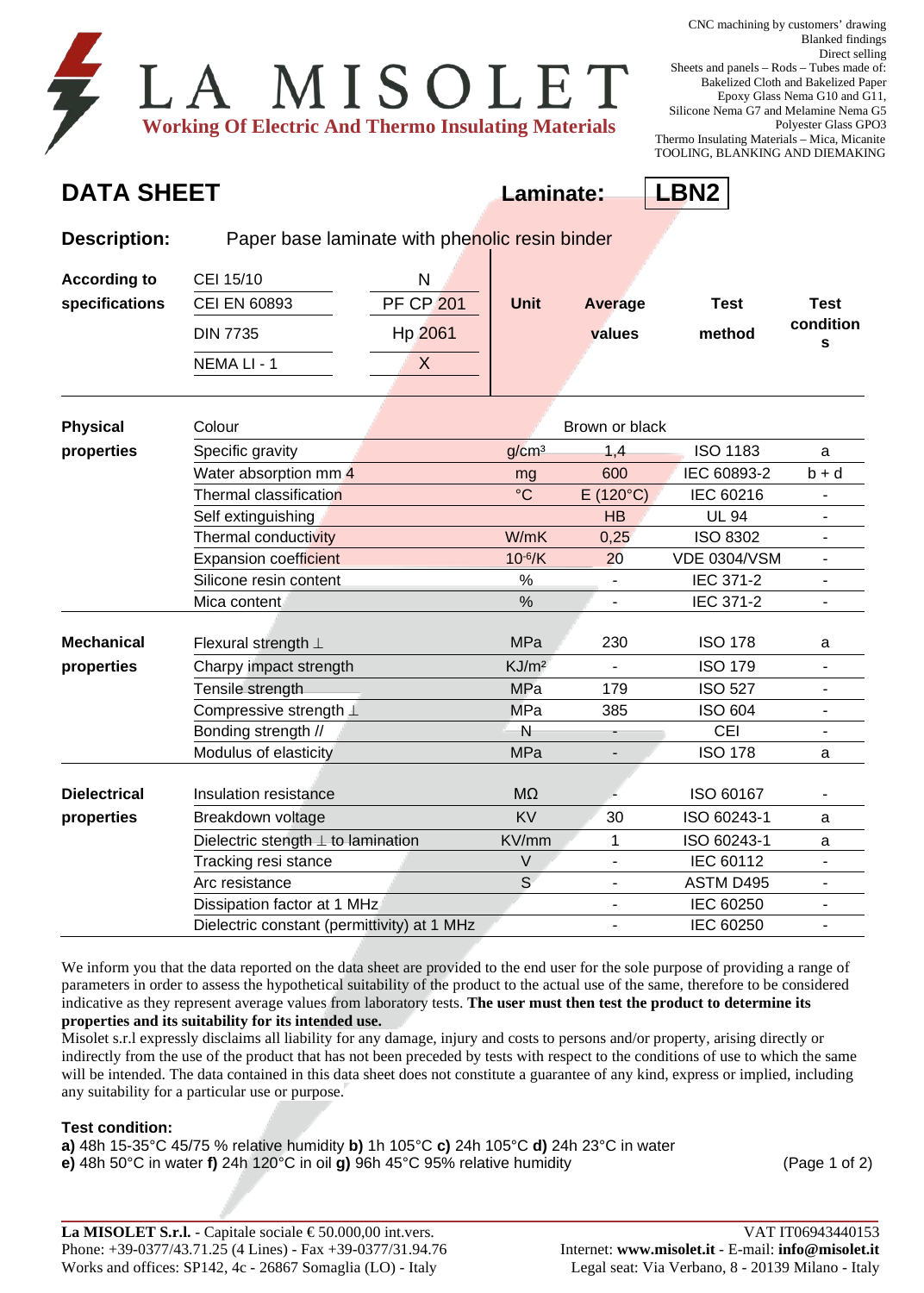| Direct selling<br>Sheets and panels - Rods - Tubes made of:<br>MISOLET<br>Bakelized Cloth and Bakelized Paper<br>Epoxy Glass Nema G10 and G11,<br>Silicone Nema G7 and Melamine Nema G5<br><b>Working Of Electric And Thermo Insulating Materials</b><br>Polyester Glass GPO3<br>Thermo Insulating Materials - Mica, Micanite<br>TOOLING, BLANKING AND DIEMAKING |                                                            |                   |                          |                     |                          |  |
|------------------------------------------------------------------------------------------------------------------------------------------------------------------------------------------------------------------------------------------------------------------------------------------------------------------------------------------------------------------|------------------------------------------------------------|-------------------|--------------------------|---------------------|--------------------------|--|
| <b>DATA SHEET</b>                                                                                                                                                                                                                                                                                                                                                | Laminate:                                                  |                   | LBN <sub>2</sub>         |                     |                          |  |
| <b>Description:</b>                                                                                                                                                                                                                                                                                                                                              | Paper base laminate with phenolic resin binder             |                   |                          |                     |                          |  |
| <b>According to</b><br>specifications                                                                                                                                                                                                                                                                                                                            | ${\sf N}$<br>CEI 15/10<br><b>PF CP 201</b><br>CEI EN 60893 | <b>Unit</b>       | Average                  | <b>Test</b>         | <b>Test</b><br>condition |  |
|                                                                                                                                                                                                                                                                                                                                                                  | Hp 2061<br><b>DIN 7735</b><br>NEMA LI - 1<br>X             |                   | values                   | method              | S                        |  |
| <b>Physical</b>                                                                                                                                                                                                                                                                                                                                                  | Brown or black<br>Colour                                   |                   |                          |                     |                          |  |
| properties                                                                                                                                                                                                                                                                                                                                                       | Specific gravity                                           | g/cm <sup>3</sup> | 1,4                      | <b>ISO 1183</b>     | a                        |  |
|                                                                                                                                                                                                                                                                                                                                                                  | Water absorption mm 4                                      | mg                | 600                      | IEC 60893-2         | $b + d$                  |  |
|                                                                                                                                                                                                                                                                                                                                                                  | Thermal classification                                     | $\rm ^{\circ}C$   | $E(120^{\circ}C)$        | IEC 60216           |                          |  |
|                                                                                                                                                                                                                                                                                                                                                                  | Self extinguishing                                         |                   | <b>HB</b>                | <b>UL 94</b>        |                          |  |
|                                                                                                                                                                                                                                                                                                                                                                  | Thermal conductivity                                       | W/mK              | 0,25                     | <b>ISO 8302</b>     |                          |  |
|                                                                                                                                                                                                                                                                                                                                                                  | Expansion coefficient                                      | $10^{-6}$ /K      | 20                       | <b>VDE 0304/VSM</b> |                          |  |
|                                                                                                                                                                                                                                                                                                                                                                  | Silicone resin content                                     | $\%$              | $\overline{\phantom{0}}$ | IEC 371-2           |                          |  |
|                                                                                                                                                                                                                                                                                                                                                                  | Mica content                                               | $\%$              | ÷                        | IEC 371-2           |                          |  |
| <b>Mechanical</b>                                                                                                                                                                                                                                                                                                                                                | Flexural strength $\perp$                                  | <b>MPa</b>        | 230                      | <b>ISO 178</b>      | a                        |  |
| properties                                                                                                                                                                                                                                                                                                                                                       | Charpy impact strength                                     | KJ/m <sup>2</sup> | $\overline{\phantom{a}}$ | <b>ISO 179</b>      |                          |  |
|                                                                                                                                                                                                                                                                                                                                                                  | Tensile strength                                           | MPa               | 179                      | <b>ISO 527</b>      |                          |  |
|                                                                                                                                                                                                                                                                                                                                                                  | Compressive strength $\perp$                               | MPa               | 385                      | <b>ISO 604</b>      |                          |  |
|                                                                                                                                                                                                                                                                                                                                                                  | Bonding strength //                                        | N                 |                          | <b>CEI</b>          | $\blacksquare$           |  |
|                                                                                                                                                                                                                                                                                                                                                                  | Modulus of elasticity                                      | <b>MPa</b>        |                          | <b>ISO 178</b>      | a                        |  |
|                                                                                                                                                                                                                                                                                                                                                                  |                                                            |                   |                          |                     |                          |  |
| <b>Dielectrical</b>                                                                                                                                                                                                                                                                                                                                              | Insulation resistance                                      | $M\Omega$         |                          | ISO 60167           |                          |  |
| properties                                                                                                                                                                                                                                                                                                                                                       | Breakdown voltage                                          | <b>KV</b>         | 30                       | ISO 60243-1         | a                        |  |
|                                                                                                                                                                                                                                                                                                                                                                  | Dielectric stength $\perp$ to lamination                   | KV/mm             | 1                        | ISO 60243-1         | a                        |  |
|                                                                                                                                                                                                                                                                                                                                                                  | Tracking resi stance                                       | V                 | $\overline{\phantom{a}}$ | IEC 60112           | $\overline{\phantom{a}}$ |  |
|                                                                                                                                                                                                                                                                                                                                                                  | Arc resistance                                             | S                 |                          | ASTM D495           |                          |  |
|                                                                                                                                                                                                                                                                                                                                                                  | Dissipation factor at 1 MHz                                |                   | ۰                        | IEC 60250           | ÷,                       |  |
|                                                                                                                                                                                                                                                                                                                                                                  | Dielectric constant (permittivity) at 1 MHz                |                   | -                        | IEC 60250           |                          |  |

We inform you that the data reported on the data sheet are provided to the end user for the sole purpose of providing a range of parameters in order to assess the hypothetical suitability of the product to the actual use of the same, therefore to be considered indicative as they represent average values from laboratory tests. **The user must then test the product to determine its properties and its suitability for its intended use.**

Misolet s.r.l expressly disclaims all liability for any damage, injury and costs to persons and/or property, arising directly or indirectly from the use of the product that has not been preceded by tests with respect to the conditions of use to which the same will be intended. The data contained in this data sheet does not constitute a guarantee of any kind, express or implied, including any suitability for a particular use or purpose.

## **Test condition:**

**a)** 48h 15-35°C 45/75 % relative humidity **b)** 1h 105°C **c)** 24h 105°C **d)** 24h 23°C in water

**e)** 48h 50°C in water **f)** 24h 120°C in oil **g)** 96h 45°C 95% relative humidity (Page 1 of 2)

CNC machining by customers' drawing

Blanked findings